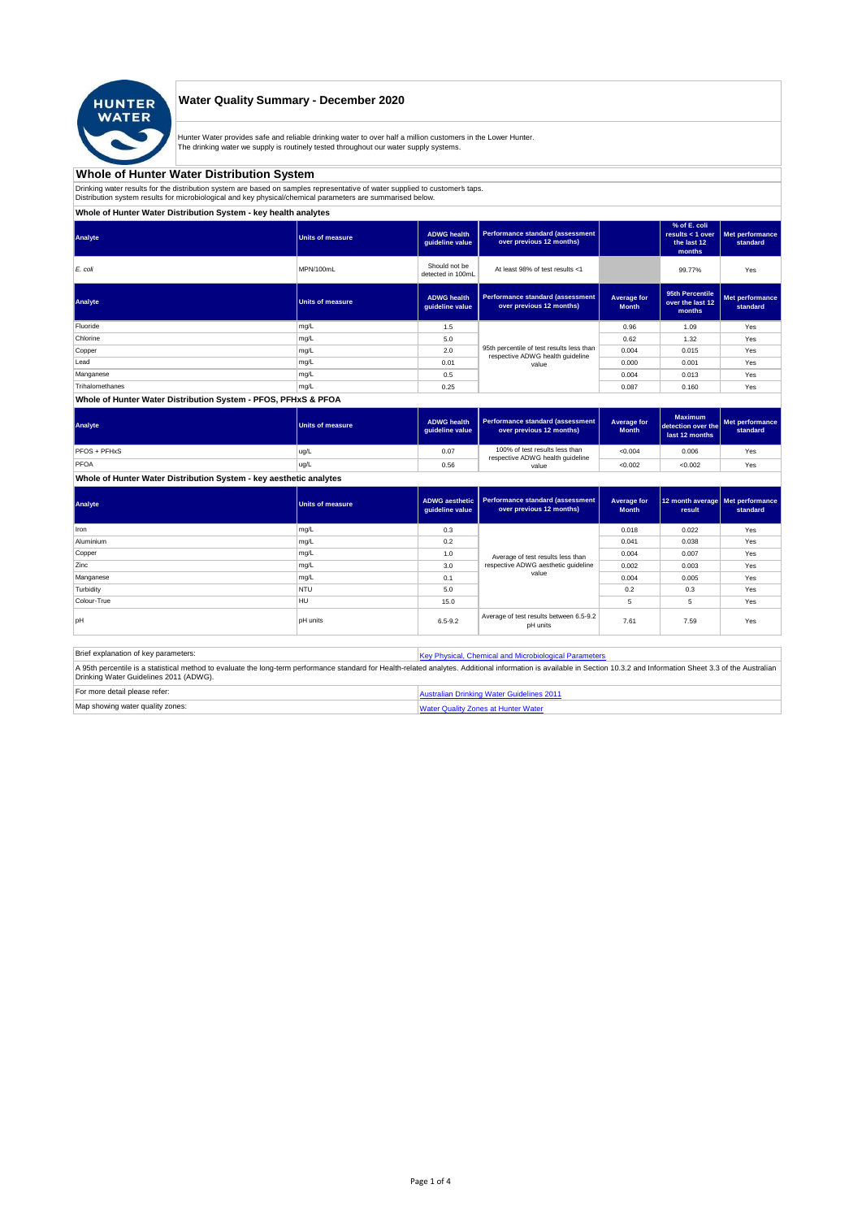

## **Water Quality Summary - December 2020**

Hunter Water provides safe and reliable drinking water to over half a million customers in the Lower Hunter.<br>The drinking water we supply is routinely tested throughout our water supply systems.

### **Whole of Hunter Water Distribution System**

Drinking water results for the distribution system are based on samples representative of water supplied to customer's taps.<br>Distribution system results for microbiological and key physical/chemical parameters are summaris

### **Whole of Hunter Water Distribution System - key health analytes**

| <b>Units of measure</b> | <b>ADWG</b> health<br>quideline value | Performance standard (assessment<br>over previous 12 months)        |                                                                               | % of E. coli<br>results $<$ 1 over<br>the last 12<br>months | Met performance<br>standard |
|-------------------------|---------------------------------------|---------------------------------------------------------------------|-------------------------------------------------------------------------------|-------------------------------------------------------------|-----------------------------|
| MPN/100mL               | Should not be<br>detected in 100mL    | At least 98% of test results <1                                     |                                                                               | 99.77%                                                      | Yes                         |
| <b>Units of measure</b> | <b>ADWG</b> health<br>guideline value | <b>Performance standard (assessment</b><br>over previous 12 months) | Average for<br><b>Month</b>                                                   | 95th Percentile<br>over the last 12<br>months               | Met performance<br>standard |
| mg/L                    | 1.5                                   |                                                                     | 0.96                                                                          | 1.09                                                        | Yes                         |
| mg/L                    | 5.0                                   |                                                                     | 0.62                                                                          | 1.32                                                        | Yes                         |
| mg/L                    | 2.0                                   |                                                                     | 0.004                                                                         | 0.015                                                       | Yes                         |
| mg/L                    | 0.01                                  | value                                                               | 0.000                                                                         | 0.001                                                       | Yes                         |
| mg/L                    | 0.5                                   |                                                                     | 0.004                                                                         | 0.013                                                       | Yes                         |
| mg/L                    | 0.25                                  |                                                                     | 0.087                                                                         | 0.160                                                       | Yes                         |
|                         |                                       |                                                                     | 95th percentile of test results less than<br>respective ADWG health guideline |                                                             |                             |

#### **Whole of Hunter Water Distribution System - PFOS, PFHxS & PFOA**

| Analyte      | Units of measure | <b>ADWG health</b><br>quideline value | Performance standard (assessment<br>over previous 12 months)       | Average for<br><b>Month</b> | <b>Maximum</b><br>detection over the<br>last 12 months | Met performance<br>standard |
|--------------|------------------|---------------------------------------|--------------------------------------------------------------------|-----------------------------|--------------------------------------------------------|-----------------------------|
| PFOS + PFHxS | ug/L             | 0.07                                  | 100% of test results less than<br>respective ADWG health guideline | < 0.004                     | 0.006                                                  | Yes                         |
| PFOA         | ug/L             | 0.56                                  | value                                                              | < 0.002                     | < 0.002                                                | Yes                         |

**Whole of Hunter Water Distribution System - key aesthetic analytes**

| Analyte     | Units of measure | <b>ADWG aesthetic</b><br>guideline value | Performance standard (assessment<br>over previous 12 months) | Average for<br><b>Month</b> | 12 month average   Met performance<br>result | standard |
|-------------|------------------|------------------------------------------|--------------------------------------------------------------|-----------------------------|----------------------------------------------|----------|
| Iron        | mg/L             | 0.3                                      |                                                              | 0.018                       | 0.022                                        | Yes      |
| Aluminium   | mg/L             | 0.2                                      |                                                              | 0.041                       | 0.038                                        | Yes      |
| Copper      | mg/L             | 1.0                                      | Average of test results less than                            | 0.004                       | 0.007                                        | Yes      |
| Zinc        | mg/L             | 3.0                                      | respective ADWG aesthetic quideline                          | 0.002                       | 0.003                                        | Yes      |
| Manganese   | mg/L             | 0.1                                      | value                                                        | 0.004                       | 0.005                                        | Yes      |
| Turbidity   | <b>NTU</b>       | 5.0                                      |                                                              | 0.2                         | 0.3                                          | Yes      |
| Colour-True | <b>HU</b>        | 15.0                                     |                                                              | 5                           | 5                                            | Yes      |
| pH          | pH units         | $6.5 - 9.2$                              | Average of test results between 6.5-9.2<br>pH units          | 7.61                        | 7.59                                         | Yes      |

Brief explanation of key parameters: [Key Physical, Che](http://www.hunterwater.com.au/Resources/Documents/Fact-Sheets/Water-Quality/Key-WQ-Parameters.pdf)mical and Microbiological Parameters A 95th percentile is a statistical method to evaluate the long-term performance standard for Health-related analytes. Additional information is available in Section 10.3.2 and Information Sheet 3.3 of the Australian<br>Drinki For more detail please refer: [Australian Drinkin](http://www.nhmrc.gov.au/guidelines/publications/eh52)g Water Guidelines 2011

| Map showing water quality zones: | inter Watı |
|----------------------------------|------------|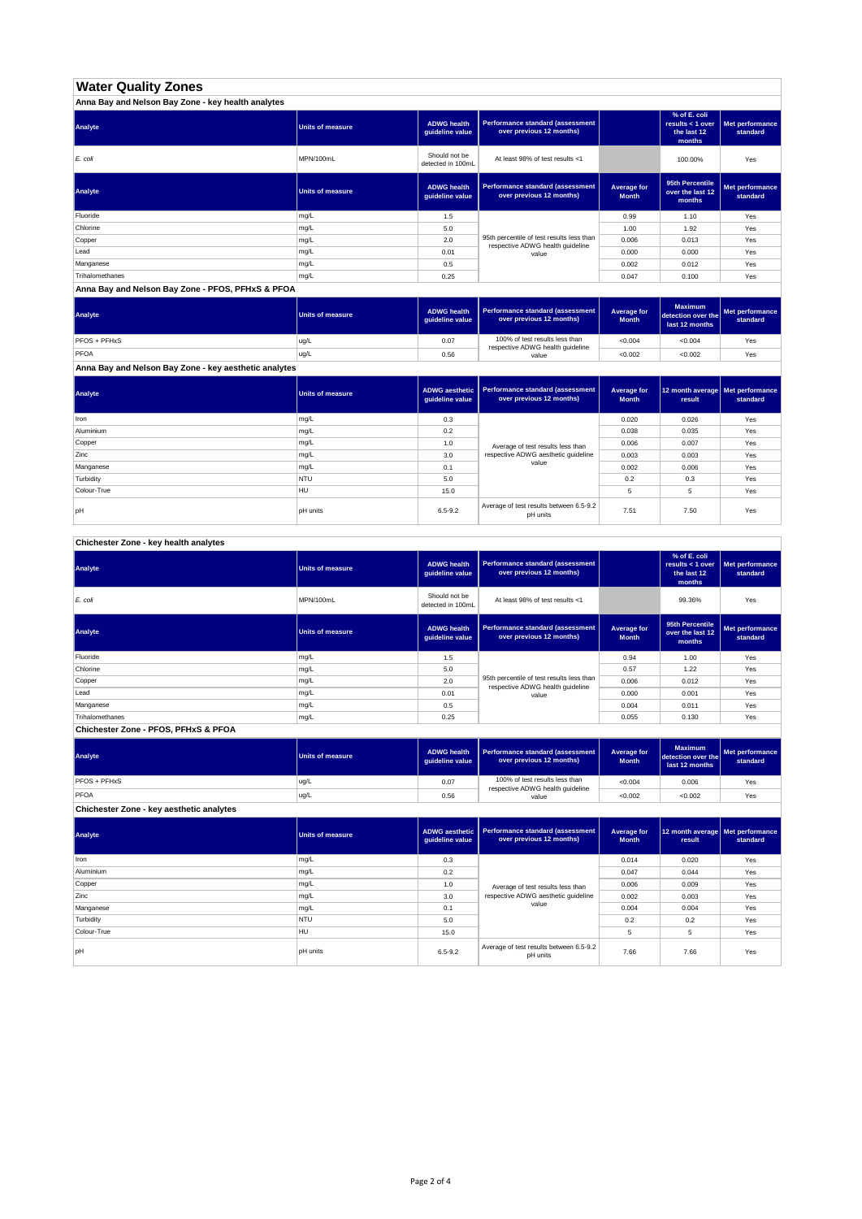## **Water Quality Zones**

| Anna Bay and Nelson Bay Zone - key health analytes |                         |                                       |                                                                               |                             |                                                           |                             |
|----------------------------------------------------|-------------------------|---------------------------------------|-------------------------------------------------------------------------------|-----------------------------|-----------------------------------------------------------|-----------------------------|
| Analyte                                            | <b>Units of measure</b> | <b>ADWG health</b><br>quideline value | Performance standard (assessment<br>over previous 12 months)                  |                             | % of E. coli<br>results < 1 over<br>the last 12<br>months | Met performance<br>standard |
| E. coli                                            | MPN/100mL               | Should not be<br>detected in 100mL    | At least 98% of test results <1                                               |                             | 100.00%                                                   | Yes                         |
| Analyte                                            | <b>Units of measure</b> | <b>ADWG health</b><br>quideline value | Performance standard (assessment<br>over previous 12 months)                  | Average for<br><b>Month</b> | 95th Percentile<br>over the last 12<br>months             | Met performance<br>standard |
| Fluoride                                           | mg/L                    | 1.5                                   |                                                                               | 0.99                        | 1.10                                                      | Yes                         |
| Chlorine                                           | mg/L                    | 5.0                                   |                                                                               | 1.00                        | 1.92                                                      | Yes                         |
| Copper                                             | mg/L                    | 2.0                                   | 95th percentile of test results less than<br>respective ADWG health guideline | 0.006                       | 0.013                                                     | Yes                         |
| Lead                                               | mg/L                    | 0.01                                  | value                                                                         | 0.000                       | 0.000                                                     | Yes                         |
| Manganese                                          | mg/L                    | 0.5                                   |                                                                               | 0.002                       | 0.012                                                     | Yes                         |
| Trihalomethanes                                    | mg/L                    | 0.25                                  |                                                                               | 0.047                       | 0.100                                                     | Yes                         |

#### **Anna Bay and Nelson Bay Zone - PFOS, PFHxS & PFOA**

| Analyte      | Units of measure | <b>ADWG health</b><br>quideline value | Performance standard (assessment<br>over previous 12 months)       | Average for<br><b>Month</b> | <b>Maximum</b><br>detection over the<br>last 12 months | Met performance<br>standard |
|--------------|------------------|---------------------------------------|--------------------------------------------------------------------|-----------------------------|--------------------------------------------------------|-----------------------------|
| PFOS + PFHxS | ug/L             | 0.07                                  | 100% of test results less than<br>respective ADWG health guideline | < 0.004                     | < 0.004                                                | Yes                         |
| PFOA         | ug/L             | 0.56                                  | value                                                              | < 0.002                     | < 0.002                                                | Yes                         |

**Anna Bay and Nelson Bay Zone - key aesthetic analytes**

| Analyte     | <b>Units of measure</b> | <b>ADWG aesthetic</b><br>guideline value | Performance standard (assessment<br>over previous 12 months) | Average for<br><b>Month</b> | 12 month average   Met performance<br>result | standard |
|-------------|-------------------------|------------------------------------------|--------------------------------------------------------------|-----------------------------|----------------------------------------------|----------|
| Iron        | mg/L                    | 0.3                                      |                                                              | 0.020                       | 0.026                                        | Yes      |
| Aluminium   | mg/L                    | 0.2                                      |                                                              | 0.038                       | 0.035                                        | Yes      |
| Copper      | mg/L                    | 1.0                                      | Average of test results less than                            | 0.006                       | 0.007                                        | Yes      |
| Zinc        | mg/L                    | 3.0                                      | respective ADWG aesthetic quideline                          | 0.003                       | 0.003                                        | Yes      |
| Manganese   | mg/L                    | 0.1                                      | value                                                        | 0.002                       | 0.006                                        | Yes      |
| Turbidity   | <b>NTU</b>              | 5.0                                      |                                                              | 0.2                         | 0.3                                          | Yes      |
| Colour-True | <b>HU</b>               | 15.0                                     |                                                              | 5                           | 5                                            | Yes      |
| pH          | pH units                | $6.5 - 9.2$                              | Average of test results between 6.5-9.2<br>pH units          | 7.51                        | 7.50                                         | Yes      |

# **Chichester Zone - key health analytes**

| Analyte         | <b>Units of measure</b> | <b>ADWG health</b><br>guideline value | Performance standard (assessment<br>over previous 12 months)                  |                             | % of E. coli<br>results < 1 over<br>the last 12<br>months | Met performance<br>standard |
|-----------------|-------------------------|---------------------------------------|-------------------------------------------------------------------------------|-----------------------------|-----------------------------------------------------------|-----------------------------|
| E. coli         | MPN/100mL               | Should not be<br>detected in 100mL    | At least 98% of test results <1                                               |                             | 99.36%                                                    | Yes                         |
| Analyte         | <b>Units of measure</b> | <b>ADWG health</b><br>guideline value | Performance standard (assessment<br>over previous 12 months)                  | Average for<br><b>Month</b> | 95th Percentile<br>over the last 12<br>months             | Met performance<br>standard |
| Fluoride        | mg/L                    | 1.5                                   |                                                                               | 0.94                        | 1.00                                                      | Yes                         |
| Chlorine        | mg/L                    | 5.0                                   |                                                                               | 0.57                        | 1.22                                                      | Yes                         |
| Copper          | mg/L                    | 2.0                                   | 95th percentile of test results less than<br>respective ADWG health guideline | 0.006                       | 0.012                                                     | Yes                         |
| Lead            | mg/L                    | 0.01                                  | value                                                                         | 0.000                       | 0.001                                                     | Yes                         |
| Manganese       | mg/L                    | 0.5                                   |                                                                               | 0.004                       | 0.011                                                     | Yes                         |
| Trihalomethanes | mg/L                    | 0.25                                  |                                                                               | 0.055                       | 0.130                                                     | Yes                         |

**Chichester Zone - PFOS, PFHxS & PFOA**

| Analyte             | Units of measure | <b>ADWG health</b><br>quideline value | Performance standard (assessment<br>over previous 12 months)       | Average for<br><b>Month</b> | <b>Maximum</b><br>detection over the<br>last 12 months | Met performance<br>standard |
|---------------------|------------------|---------------------------------------|--------------------------------------------------------------------|-----------------------------|--------------------------------------------------------|-----------------------------|
| <b>PFOS + PFHxS</b> | ug/L             | 0.07                                  | 100% of test results less than<br>respective ADWG health guideline | < 0.004                     | 0.006                                                  | Yes                         |
| PFOA                | ug/L             | 0.56                                  | value                                                              | < 0.002                     | < 0.002                                                | Yes                         |

**Chichester Zone - key aesthetic analytes**

| Analyte     | <b>Units of measure</b> | quideline value | ADWG aesthetic   Performance standard (assessment<br>over previous 12 months) | Average for<br><b>Month</b> | 12 month average Met performance<br>result | standard |
|-------------|-------------------------|-----------------|-------------------------------------------------------------------------------|-----------------------------|--------------------------------------------|----------|
| Iron        | mg/L                    | 0.3             |                                                                               | 0.014                       | 0.020                                      | Yes      |
| Aluminium   | mg/L                    | 0.2             |                                                                               | 0.047                       | 0.044                                      | Yes      |
| Copper      | mg/L                    | 1.0             | Average of test results less than                                             | 0.006                       | 0.009                                      | Yes      |
| Zinc        | mg/L                    | 3.0             | respective ADWG aesthetic quideline                                           | 0.002                       | 0.003                                      | Yes      |
| Manganese   | mg/L                    | 0.1             | value                                                                         | 0.004                       | 0.004                                      | Yes      |
| Turbidity   | <b>NTU</b>              | 5.0             |                                                                               | 0.2                         | 0.2                                        | Yes      |
| Colour-True | <b>HU</b>               | 15.0            |                                                                               | 5                           |                                            | Yes      |
| lpH         | <b>pH</b> units         | $6.5 - 9.2$     | Average of test results between 6.5-9.2<br>pH units                           | 7.66                        | 7.66                                       | Yes      |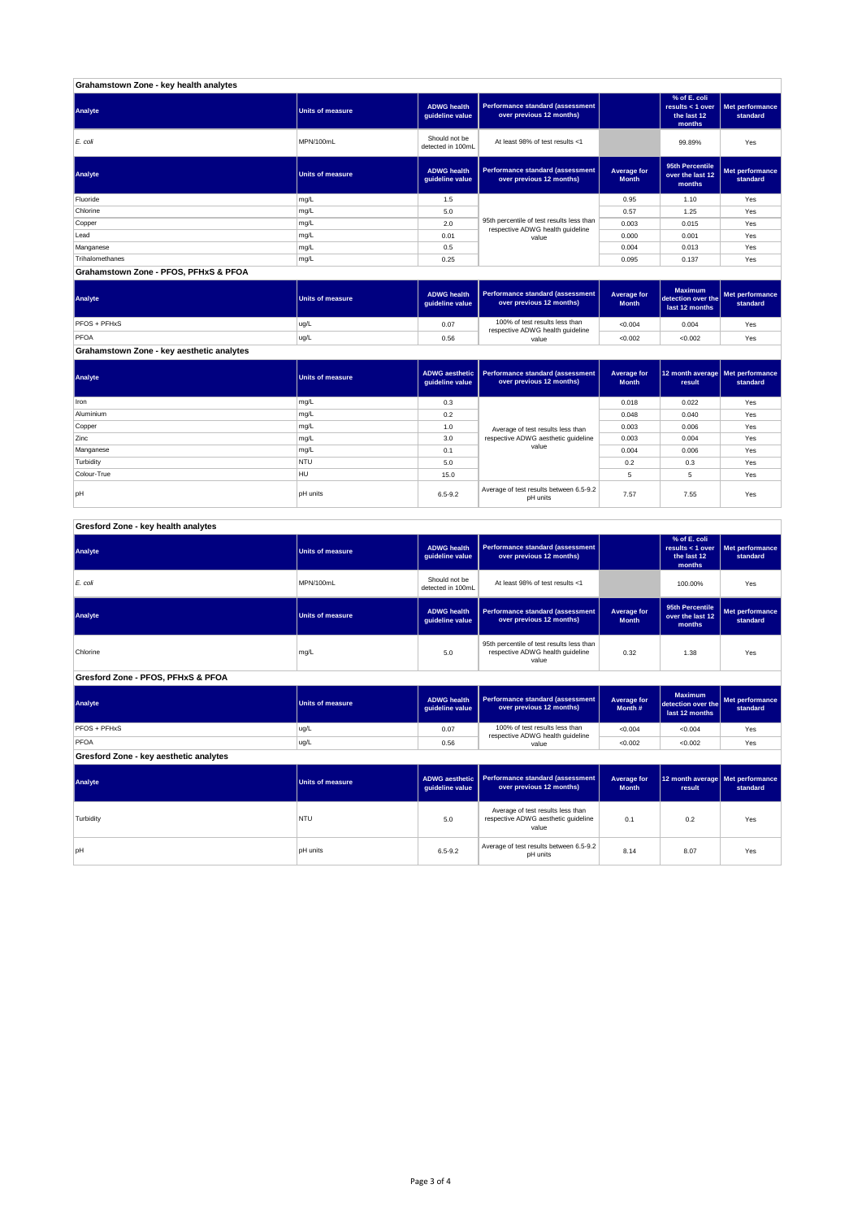| Grahamstown Zone - key health analytes |                  |                                       |                                                                               |                             |                                                             |                             |  |
|----------------------------------------|------------------|---------------------------------------|-------------------------------------------------------------------------------|-----------------------------|-------------------------------------------------------------|-----------------------------|--|
| Analyte                                | Units of measure | <b>ADWG health</b><br>quideline value | Performance standard (assessment<br>over previous 12 months)                  |                             | % of E. coli<br>results $<$ 1 over<br>the last 12<br>months | Met performance<br>standard |  |
| E. coli                                | MPN/100mL        | Should not be<br>detected in 100mL    | At least 98% of test results <1                                               |                             | 99.89%                                                      | Yes                         |  |
| Analyte                                | Units of measure | <b>ADWG health</b><br>guideline value | Performance standard (assessment<br>over previous 12 months)                  | Average for<br><b>Month</b> | 95th Percentile<br>over the last 12<br>months               | Met performance<br>standard |  |
| Fluoride                               | mg/L             | 1.5                                   |                                                                               | 0.95                        | 1.10                                                        | Yes                         |  |
| Chlorine                               | mg/L             | 5.0                                   |                                                                               | 0.57                        | 1.25                                                        | Yes                         |  |
| Copper                                 | mg/L             | 2.0                                   | 95th percentile of test results less than<br>respective ADWG health guideline | 0.003                       | 0.015                                                       | Yes                         |  |
| Lead                                   | mg/L             | 0.01                                  | value                                                                         | 0.000                       | 0.001                                                       | Yes                         |  |
| Manganese                              | mg/L             | 0.5                                   |                                                                               | 0.004                       | 0.013                                                       | Yes                         |  |
| Trihalomethanes                        | mg/L             | 0.25                                  |                                                                               | 0.095                       | 0.137                                                       | Yes                         |  |

**Grahamstown Zone - PFOS, PFHxS & PFOA**

| Analyte                                   | Units of measure | <b>ADWG health</b><br>auideline value | Performance standard (assessment<br>over previous 12 months)       | Average for<br><b>Month</b> | <b>Maximum</b><br>detection over the<br>last 12 months | Met performance<br>standard |
|-------------------------------------------|------------------|---------------------------------------|--------------------------------------------------------------------|-----------------------------|--------------------------------------------------------|-----------------------------|
| <b>PFOS + PFHxS</b>                       | ug/L             | 0.07                                  | 100% of test results less than<br>respective ADWG health guideline | < 0.004                     | 0.004                                                  | Yes                         |
| PFOA                                      | ug/L             | 0.56                                  | value                                                              | < 0.002                     | < 0.002                                                | Yes                         |
| Grahamstown Zone - key aesthetic analytes |                  |                                       |                                                                    |                             |                                                        |                             |

| Analyte     | <b>Units of measure</b> | ADWG aesthetic<br>quideline value | Performance standard (assessment<br>over previous 12 months) | Average for<br><b>Month</b> | 12 month average   Met performance<br>result | standard |
|-------------|-------------------------|-----------------------------------|--------------------------------------------------------------|-----------------------------|----------------------------------------------|----------|
| Iron        | mg/L                    | 0.3                               |                                                              | 0.018                       | 0.022                                        | Yes      |
| Aluminium   | mg/L                    | 0.2                               |                                                              | 0.048                       | 0.040                                        | Yes      |
| Copper      | mg/L                    | 1.0                               | Average of test results less than                            | 0.003                       | 0.006                                        | Yes      |
| Zinc        | mg/L                    | 3.0                               | respective ADWG aesthetic quideline                          | 0.003                       | 0.004                                        | Yes      |
| Manganese   | mg/L                    | 0.1                               | value                                                        | 0.004                       | 0.006                                        | Yes      |
| Turbidity   | <b>NTU</b>              | 5.0                               |                                                              | 0.2                         | 0.3                                          | Yes      |
| Colour-True | <b>HU</b>               | 15.0                              |                                                              |                             | 5                                            | Yes      |
| pH          | pH units                | $6.5 - 9.2$                       | Average of test results between 6.5-9.2<br>pH units          | 7.57                        | 7.55                                         | Yes      |

## **Gresford Zone - key health analytes**

| Analyte                                | <b>Units of measure</b> | <b>ADWG health</b><br>guideline value    | <b>Performance standard (assessment</b><br>over previous 12 months)                    |                                    | % of E. coli<br>results < $1$ over<br>the last 12<br>months | Met performance<br>standard |
|----------------------------------------|-------------------------|------------------------------------------|----------------------------------------------------------------------------------------|------------------------------------|-------------------------------------------------------------|-----------------------------|
| E. coli                                | MPN/100mL               | Should not be<br>detected in 100mL       | At least 98% of test results <1                                                        |                                    | 100.00%                                                     | Yes                         |
| Analyte                                | <b>Units of measure</b> | <b>ADWG health</b><br>guideline value    | <b>Performance standard (assessment</b><br>over previous 12 months)                    | Average for<br><b>Month</b>        | 95th Percentile<br>over the last 12<br>months               | Met performance<br>standard |
| Chlorine                               | mg/L                    | 5.0                                      | 95th percentile of test results less than<br>respective ADWG health guideline<br>value | 0.32                               | 1.38                                                        | Yes                         |
| Gresford Zone - PFOS, PFHxS & PFOA     |                         |                                          |                                                                                        |                                    |                                                             |                             |
| Analyte                                | <b>Units of measure</b> | <b>ADWG health</b><br>guideline value    | <b>Performance standard (assessment</b><br>over previous 12 months)                    | Average for<br>Month #             | <b>Maximum</b><br>detection over the<br>last 12 months      | Met performance<br>standard |
| PFOS + PFHxS                           | ug/L                    | 0.07                                     | 100% of test results less than<br>respective ADWG health guideline                     | < 0.004                            | < 0.004                                                     | Yes                         |
| <b>PFOA</b>                            | ug/L                    | 0.56                                     | value                                                                                  | < 0.002                            | < 0.002                                                     | Yes                         |
| Gresford Zone - key aesthetic analytes |                         |                                          |                                                                                        |                                    |                                                             |                             |
| Analyte                                | <b>Units of measure</b> | <b>ADWG aesthetic</b><br>guideline value | <b>Performance standard (assessment</b><br>over previous 12 months)                    | <b>Average for</b><br><b>Month</b> | 12 month average<br>result                                  | Met performance<br>standard |
| Turbidity                              | NTU                     | 5.0                                      | Average of test results less than<br>respective ADWG aesthetic quideline<br>value      | 0.1                                | 0.2                                                         | Yes                         |
| pH                                     | <b>pH</b> units         | 6.5-9.2                                  | Average of test results between 6.5-9.2<br>pH units                                    | 8.14                               | 8.07                                                        | Yes                         |